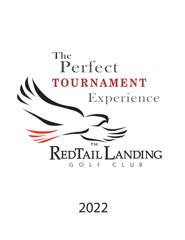

# 2022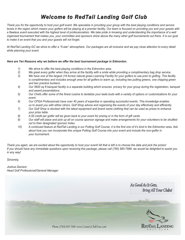# *Welcome to RedTail Landing Golf Club*

*Thank you for the opportunity to host your golf event. We specialize in providing your group with the best playing conditions and service*  levels in the region which means your golfers will be playing at a premier facility. Our team is focused on providing you and your guests with a flawless event executed with the highest level of professionalism. We take pride in knowing and understanding the importance of a well *organized tournament that makes you, your committee and sponsors shine above the many other golf tournaments out there. It is our goal to make it an event that you and your guests will not forget.*

*At RedTail Landing GC we strive to offer a "5-star" atmosphere. Our packages are all inclusive and we pay close attention to every detail while planning your event.* 

#### *Here are Ten Reasons why we believe we offer the best tournament package in Edmonton.*

- *1) We strive to offer the best playing conditions in the Edmonton area.*
- *2) We greet every golfer when they arrive at the facility with a smile while providing a complimentary bag drop service.*
- *3) We have one of the largest (19 Acres) natural grass Learning Facility for your golfers to use prior to golfing. This facility is complimentary and includes enough area for all golfers to warm up, including two putting greens, one chipping green and two practice bunkers.*
- *4) Our 5600 sq ft banquet facility is a separate building which ensures privacy for your group during the registration, banquet and award presentations.*
- *5) Our Chefs offer some of the finest cuisine to tantalize your taste buds with a variety of options or customizations for your event.*
- *6) Our CPGA Professionals have over 40 years of expertise in operating successful events. This knowledge enables us to assist you with either clinics, Golf Shop advice and organizing the events of your day effectively and efficiently.*
- *7) Our Golf Shop is stocked with the latest equipment and brand name clothing that can be used as prizes to enhance your prize table.*
- *8) A \$5 credit per golfer will be given back to your event for prizing or in the form of gift cards.*
- *9) Our staff will place and pick up all on course sponsor signage and make arrangements for your volunteers to be shuttled out to their designated sponsor holes.*
- *10) A continued feature at RedTail Landing is our Putting Golf Course, it is the first one of it's kind in the Edmonton area. Ask about how you can incorporate this unique Putting Golf Course into your event and include the non-golfer in your tournament.*

*Thank you again, we are excited about the opportunity to host your event! All that is left is to choose the date and pick the prizes! If you should have any immediate questions upon receiving this package, please call (780) 890-7888; we would be delighted to assist you in any way!*

*Sincerely,*

*Joshua Davison Head Golf Professional/General Manager* 



 *Phone: (780) 890-7888 www.CountryClubTour.com*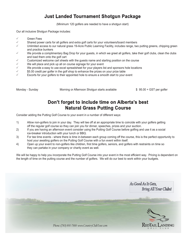# **Just Landed Tournament Shotgun Package**

(Minimum 120 golfers are needed to have a shotgun start)

Our all inclusive Shotgun Package includes:

- Green Fees
- $\checkmark$  Shared power carts for all golfers and extra golf carts for your volunteers/board members
- Unlimited access to our natural grass 19-Acre Public Learning Facility, includes range, two putting greens, chipping green and practice bunkers
- We provide a complimentary Bag Drop for your guests, in which we greet all golfers, take their golf clubs, clean the clubs and load them onto the golf cart
- $\checkmark$  Customized welcome cart sheets with the guests name and starting position on the course
- We will place and pick up all on course signage for your event
- $\checkmark$  We provide a easy to use excel spreadsheet for your players list and sponsors hole locations
- $\checkmark$  \$5.00 credit per golfer in the golf shop to enhance the prizes on your prize table
- Escorts for your golfers to their appointed hole to ensure a smooth start to your event

Monday - Sunday Morning or Afternoon Shotgun starts available \$ 95.00 + GST per golfer

# **Don't forget to include time on Alberta's best Natural Grass Putting Course**

Consider adding the Putting Golf Course to your event in a number of different ways:

- 1) Allow non-golfers to join in your day. They will tee off at an appropriate time to coincide with your golfers getting off the regular golf course so they can join you for dinner, speeches, prizes and your auction.
- 2) If you are having an afternoon event consider using the Putting Golf Course before golfing and use it as a social ice-breaker introduction with your lunch or BBQ.
- 3) For tee time events where there is time in-between each group coming off the course, this is the perfect opportunity to host your awaiting golfers on the Putting Golf Course with a fun event within itself.
- 4) Open up your event to non-golfers like children, first time golfers, seniors, and golfers with restraints on time so they can partake in your company or charity event as well.

We will be happy to help you incorporate the Putting Golf Course into your event in the most efficient way. Pricing is dependent on the length of time on the putting course and the number of golfers. We will do our best to work within your budgets.

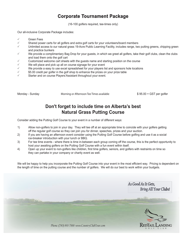# **Corporate Tournament Package**

(16-100 golfers required, tee-times only)

Our all-inclusive Corporate Package includes:

- Green Fees
- $\checkmark$  Shared power carts for all golfers and extra golf carts for your volunteers/board members
- Unlimited access to our natural grass 19-Acre Public Learning Facility, includes range, two putting greens, chipping green and practice bunkers
- We provide a complimentary Bag Drop for your guests, in which we greet all golfers, take their golf clubs, clean the clubs and load them onto the golf cart
- Customized welcome cart sheets with the guests name and starting position on the course
- $\checkmark$  We will place and pick up all on course signage for your event  $\checkmark$  We provide a easy to use excel spreadsheet for your players list
- $\checkmark$  We provide a easy to use excel spreadsheet for your players list and sponsors hole locations  $\checkmark$  s 5.00 credit per golfer in the golf shop to enhance the prizes on your prize table
- \$5.00 credit per golfer in the golf shop to enhance the prizes on your prize table
- Starter and on course Players'Assistant throughout your event.

Monday - Sunday Morning or Afternoon Tee Times available \$ 95.00 + GST per golfer

## **Don't forget to include time on Alberta's best Natural Grass Putting Course**

Consider adding the Putting Golf Course to your event in a number of different ways:

- 1) Allow non-golfers to join in your day. They will tee off at an appropriate time to coincide with your golfers getting off the regular golf course so they can join you for dinner, speeches, prizes and your auction.
- 2) If you are having an afternoon event consider using the Putting Golf Course before golfing and use it as a social ice-breaker introduction with your lunch or BBQ.
- 3) For tee time events where there is time in-between each group coming off the course, this is the perfect opportunity to host your awaiting golfers on the Putting Golf Course with a fun event within itself.
- 4) Open up your event to non-golfers like children, first time golfers, seniors, and golfers with restraints on time so they can partake in your company or charity event as well.

We will be happy to help you incorporate the Putting Golf Course into your event in the most efficient way. Pricing is dependent on the length of time on the putting course and the number of golfers. We will do our best to work within your budgets.

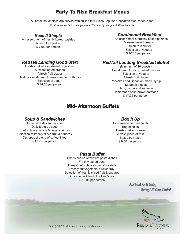# **Early To Rise Breakfast Menus**

All breakfast choices are served with chilled fruit juices, regular & decaffeinated coffee & tea. *All prices are subject to change and a 18% Gratuity charge & GST will be added.*

#### *Keep it Simple*

 An assortment of freshly baked pastries A fresh fruit platter \$ 7.95 per person

## *Continental Breakfast*

 An assortment of freshly baked pastries & sweet loafed breads A fresh fruit platter Selection of yogurts \$ 10.50 per person

## *RedTail Landing Good Start*

Freshly baked assortment of pastries & sweet loafed breads A fresh fruit platter Healthy assortment of cereals served with milk Selection of yogurt \$ 14.50 per person

## *RedTail Landing Breakfast Buffet*

(Minimum of 16 guests) Assortment of freshly baked pastries Selection of yogurts A fresh fruit platter Pancakes and Canadian maple syrup Scrambled eggs Ham, bacon and sausage Homemade hash brown potatoes \$ 17.95 per person

## **Mid- Afternoon Buffets**

## *Soup & Sandwiches*

Homemade deli sandwiches Daily featured soup Chef's choice salads & vegetable tray Selection of freshly sliced fruit & squares Our special blend of coffee & tea \$ 17.95 per person

## *Box it Up*

Homemade deli sandwich Bag of chips Freshly baked cookie A fresh piece of fruit Boxed fruit juice \$ 9.50 per person

### *Pasta Buffet*

Chef's choice of two hot pasta dishes Freshly baked buns Three Chef's choice specialty salads Freshly cut vegetable & relish tray Selection of freshly sliced fruit & squares Our special blend of coffee & tea \$ 18.95 per person

> *As Good As It Gets, Bring All Your Clubs!*



 *Phone: (780) 890-7888 www.CountryClubTour.com*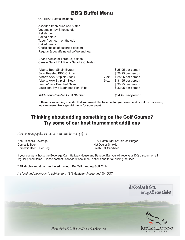Our BBQ Buffets includes:

Assorted fresh buns and butter Vegetable tray & house dip Relish tray Baked potato Taber fresh corn on the cob Baked beans Chef's choice of assorted dessert Regular & decaffeinated coffee and tea

*Chef's choice* of Three (3) salads: Caesar Salad, Dill Pasta Salad & Coleslaw

| <b>Add Slow Roasted BBQ Chicken</b> |      | \$4.25 per person  |
|-------------------------------------|------|--------------------|
| Louisiana Style Marinated Pork Ribs |      | \$32.95 per person |
| Lemon/Lime Poached Salmon           |      | \$30.95 per person |
| Alberta AAA Striploin Steak         | 9 oz | \$31.95 per person |
| Alberta AAA Striploin Steak         | 7 oz | \$28.95 per person |
| Slow Roasted BBQ Chicken            |      | \$28.95 per person |
| Alberta Beef Sirloin Burger         |      | \$25.95 per person |
|                                     |      |                    |

**If there is something specific that you would like to serve for your event and is not on our menu, we can customize a special menu for your event.**

## **Thinking about adding something on the Golf Course? Try some of our host tournament additions**

 *Here are some popular on course ticket ideas for your golfers:*

Domestic Beer **Hot Dog or Smokie** Domestic Beer & Hot Dog Fresh Deli Sandwich

Non-Alcoholic Beverage **BBQ Hamburger or Chicken Burger** BBQ Hamburger or Chicken Burger

 If your company hosts the Beverage Cart, Halfway House and Banquet Bar you will receive a 10% discount on all regular priced items. Please contact us for additional menu options and for all pricing inquiries.

**\* All alcohol must be purchased through RedTail Landing Golf Club.**

 *All food and beverage is subject to a 18% Gratuity charge and 5% GST.*

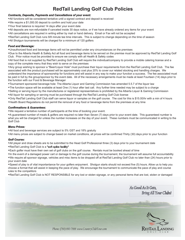# **RedTail Landing Golf Club Policies**

#### *Contracts, Deposits, Payments and Cancellations of your event:*

All functions will be considered tentative until a signed contract and deposit is received

- We require a \$1,000.00 deposit to confirm and hold your date
- Your final balance is required 14 days after your event date
- All deposits are non-refundable if canceled inside 30 days notice, or if we have already ordered any items for your event
- All cancellations are required in writing either by mail or hand delivery. Email or Fax will not be accepted
- RedTail Landing Golf Club runs 9/8 minute tee time intervals. This is subject to change depending on the time of season
- All Shotgun tournaments will be charged for a minimum of 120 golfers

#### *Food and Beverage:*

Unauthorized food and beverage items will not be permitted under any circumstances on the premises

Due to the Alberta Health & Safety Act all food and beverage items to be served on the premise must be approved by RedTail Landing Golf Club. Prior notice must be provided to ensure we comply with all Health & Safety codes

All food that is not supplied by RedTail Landing Golf Club will require the individual/company to provide a mobile catering license and a copy of the complete menu that they wish to serve on the premises

Any group wishing to sponsor a "Beer/Liquor Hole" must purchase their liquor requirements from the RedTail Landing Golf Club. The fee associated with the product purchased will be approximately cost plus 20% to cover our related stocking and handling charges. We understand the importance of sponsorship for functions and will assist in any way to make your function a success. The fee associated must be paid in full by the group/sponsor by the event date. All of the necessary arrangements must be made at least Fourteen (14) days prior to the function with our Food & Beverage Manager

- Tournament sponsored beverage hole: The Alberta Liquor and Gaming Commission has amended 5.5.7 of the liquor law
- The function space will be available at least One (1) hour after last call. Any further time needed may be subject to a charge
- Selling or serving liquor by the manufactures or registered representatives is prohibited by the Alberta Liquor & Gaming Commission
- All liquor for sampling or serving must be purchased through the RedTail Landing Golf Club license
- Only RedTail Landing Golf Club staff can serve liquor or samples on the golf course. The cost for this is \$15.00/hr with a min of 4 hours
- Health Board Regulations do not permit the removal of any food or beverage items from the premises at any time

#### *Confirmations & Guarantees*:

We request a tentative number of participants at the time of booking your event.

A guaranteed number of meals & golfers are required no later than Seven (7) days prior to your event date. This guaranteed number is what you will be charged for unless the number increases on the day of your event. These numbers must be communicated in writing to the Golf Club

#### *Menu Prices:*

- All food and beverage services are subject to 5% GST and 18% gratuity
- All menu prices are subject to change based on market conditions, all prices will be confirmed Thirty (30) days prior to your function

#### *Golf Course:*

All player and draw sheets are to be submitted to the Head Golf Professional three (3) days prior to your tournament date

- \*RedTail Landing Golf Club is a "soft spike facility"
- Each golfer must have their own set of golf clubs on the golf course. Rentals must be booked ahead of time
- In the event of a damaged power cart or damage to the golf course during the tournament, the tournament will assume full accountability We require all sponsor signage, vehicles and misc items to be dropped off at RedTail Landing Golf Club no later than (24) hours prior to your event date

Speed of play is of vital importantance for your golfers enjoyment. Shotgun starts should not exceed five (5) hours. Allow us to help you choose a format that will assist in keeping the pace of play. We encourage the tournament to communicate the pace of play and course rules to the competitors

\*RedTail Landing Golf Club is NOT RESPONSIBLE for any lost or stolen signage, or any personal items that are lost, stolen or damaged





 *Phone: (780) 890-7888 www.CountryClubTour.com*